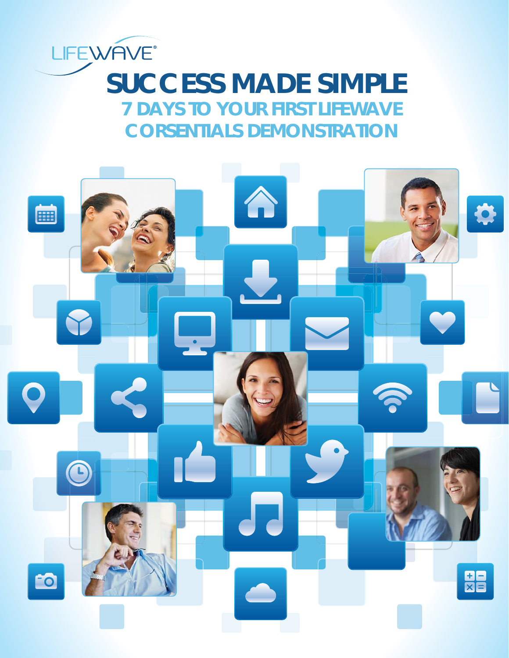

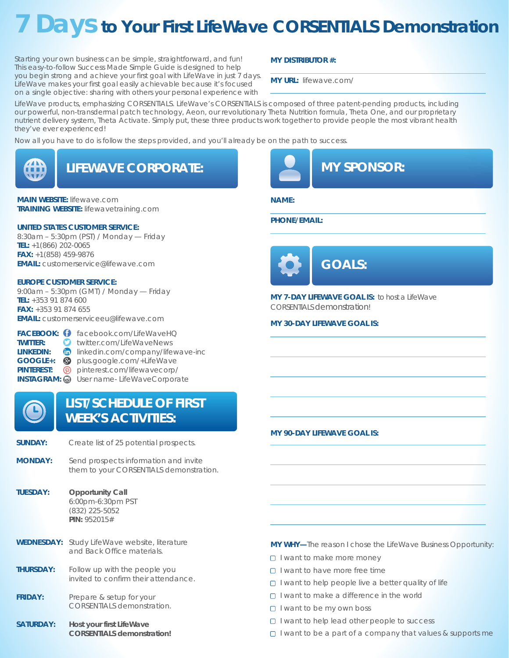# **7 Days to Your First LifeWave CORSENTIALS Demonstration**

Starting your own business can be simple, straightforward, and fun! This easy-to-follow Success Made Simple Guide is designed to help you begin strong and achieve your first goal with LifeWave in just 7 days. LifeWave makes your first goal easily achievable because it's focused on a single objective: sharing with others your personal experience with

#### **MY DISTRIBUTOR #:**

**MY URL:** lifewave.com/

LifeWave products, emphasizing CORSENTIALS. LifeWave's CORSENTIALS is composed of three patent-pending products, including our powerful, non-transdermal patch technology, Aeon, our revolutionary *Theta Nutrition* formula, *Theta One*, and our proprietary nutrient delivery system, *Theta Activate*. Simply put, these three products work together to provide people the most vibrant health they've ever experienced!

Now all you have to do is follow the steps provided, and you'll already be on the path to success.



## **LIFEWAVE CORPORATE:**

**MAIN WEBSITE:** lifewave.com **TRAINING WEBSITE:** lifewavetraining.com

#### **UNITED STATES CUSTOMER SERVICE:**

8:30am – 5:30pm (PST) / Monday — Friday **TEL:** +1(866) 202-0065 **FAX:** +1(858) 459-9876 **EMAIL:** customerservice@lifewave.com

#### **EUROPE CUSTOMER SERVICE:**

9:00am – 5:30pm (GMT) / Monday — Friday **TEL:** +353 91 874 600 **FAX:** +353 91 874 655 **EMAIL:** customerserviceeu@lifewave.com

|                  | <b>FACEBOOK: i</b> facebook.com/LifeWaveHQ          |
|------------------|-----------------------------------------------------|
| <b>TWITTER:</b>  | twitter.com/LifeWaveNews                            |
| <b>LINKEDIN:</b> | m linkedin.com/company/lifewave-inc                 |
|                  | <b>GOOGLE+: 8</b> plus.google.com/+LifeWave         |
|                  | PINTEREST: <sup>o</sup> pinterest.com/lifewavecorp/ |
|                  | <b>INSTAGRAM: @</b> User name-LifeWaveCorporate     |

### **LIST/SCHEDULE OF FIRST WEEK'S ACTIVITIES:**

- **SUNDAY:** Create list of 25 potential prospects.
- **MONDAY:** Send prospects information and invite them to your CORSENTIALS demonstration.
- **TUESDAY: Opportunity Call** 6:00pm-6:30pm PST (832) 225-5052 **PIN:** 952015#
- **WEDNESDAY:** Study LifeWave website, literature and Back Office materials.
- **THURSDAY:** Follow up with the people you invited to confirm their attendance.
- **FRIDAY:** Prepare & setup for your CORSENTIALS demonstration.
- **SATURDAY: Host your first LifeWave CORSENTIALS demonstration!**



### **MY SPONSOR:**

#### **NAME:**

**PHONE/EMAIL:**



**GOALS:**

**MY 7-DAY LIFEWAVE GOAL IS:** to host a LifeWave CORSENTIALS demonstration!

#### **MY 30-DAY LIFEWAVE GOAL IS:**

**MY 90-DAY LIFEWAVE GOAL IS:** 

**MY WHY—**The reason I chose the LifeWave Business Opportunity:

- I want to make more money
- □ I want to have more free time
- $\Box$  I want to help people live a better quality of life
- $\Box$  I want to make a difference in the world
- $\Box$  I want to be my own boss
- $\Box$  I want to help lead other people to success
- $\Box$  I want to be a part of a company that values & supports me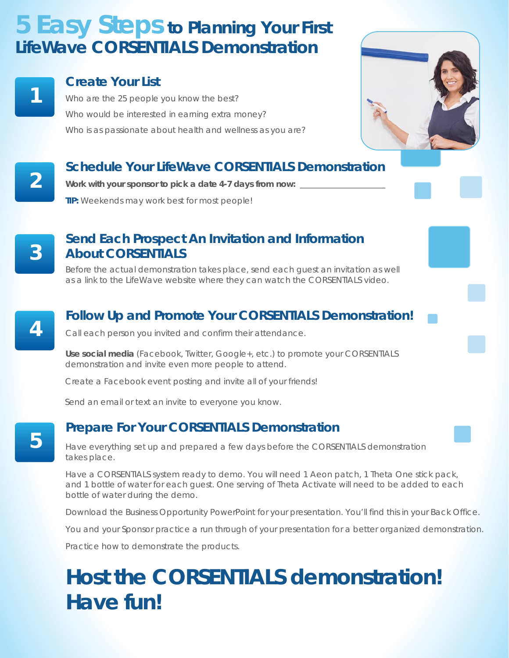# **5 Easy Steps to Planning Your First LifeWave CORSENTIALS Demonstration**

#### **Create Your List**

Who are the 25 people you know the best? Who would be interested in earning extra money? Who is as passionate about health and wellness as you are?

### **Schedule Your LifeWave CORSENTIALS Demonstration**

**Work with your sponsor to pick a date 4-7 days from now:** 

**TIP:** Weekends may work best for most people!



**2**

**1**

#### **<sup>3</sup> Send Each Prospect An Invitation and Information About CORSENTIALS**

Before the actual demonstration takes place, send each guest an invitation as well as a link to the LifeWave website where they can watch the CORSENTIALS video.

# **4 Follow Up and Promote Your CORSENTIALS Demonstration!**

Call each person you invited and confirm their attendance.

**Use social media** (Facebook, Twitter, Google+, etc.) to promote your CORSENTIALS demonstration and invite even more people to attend.

Create a Facebook event posting and invite all of your friends!

Send an email or text an invite to everyone you know.

#### **<sup>5</sup> Prepare For Your CORSENTIALS Demonstration**

Have everything set up and prepared a few days before the CORSENTIALS demonstration takes place.

Have a CORSENTIALS system ready to demo. You will need 1 Aeon patch, 1 *Theta One* stick pack, and 1 bottle of water for each guest. One serving of *Theta Activate* will need to be added to each bottle of water during the demo.

Download the Business Opportunity PowerPoint for your presentation. You'll find this in your Back Office.

You and your Sponsor practice a run through of your presentation for a better organized demonstration.

Practice how to demonstrate the products.

# **Host the CORSENTIALS demonstration! Have fun!**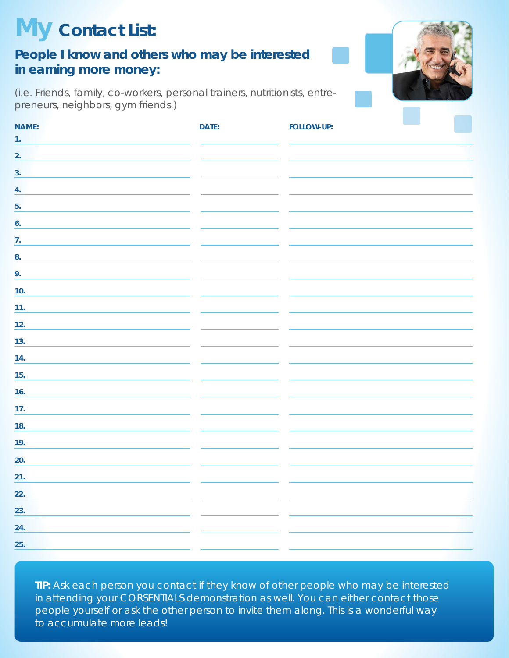# **My Contact List:**

### **People I know and others who may be interested in earning more money:**



*(i.e. Friends, family, co-workers, personal trainers, nutritionists, entrepreneurs, neighbors, gym friends.)*

| NAME:            | DATE: | FOLLOW-UP: |
|------------------|-------|------------|
| 1.               |       |            |
| 2.               |       |            |
| 3.               |       |            |
| $\overline{4}$ . |       |            |
| 5.               |       |            |
| 6.               |       |            |
| 7.               |       |            |
| 8.               |       |            |
| 9.               |       |            |
| 10.              |       |            |
| 11.              |       |            |
| 12.              |       |            |
| 13.              |       |            |
| 14.              |       |            |
| 15.              |       |            |
| 16.              |       |            |
| 17.              |       |            |
| 18.              |       |            |
| 19.              |       |            |
| 20.              |       |            |
| 21.              |       |            |
| 22.              |       |            |
| 23.              |       |            |
| 24.              |       |            |
| 25.              |       |            |

**TIP:** Ask each person you contact if they know of other people who may be interested in attending your CORSENTIALS demonstration as well. You can either contact those people yourself or ask the other person to invite them along. This is a wonderful way to accumulate more leads!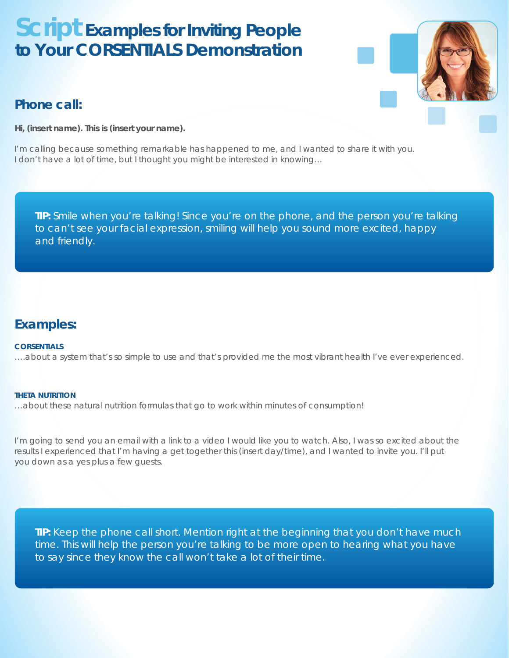# **Script Examples for Inviting People to Your CORSENTIALS Demonstration**



#### **Phone call:**

**Hi, (insert name). This is (insert your name).**

I'm calling because something remarkable has happened to me, and I wanted to share it with you. I don't have a lot of time, but I thought you might be interested in knowing...

**TIP:** Smile when you're talking! Since you're on the phone, and the person you're talking to can't see your facial expression, smiling will help you sound more excited, happy and friendly.

### **Examples:**

#### **CORSENTIALS**

….about a system that's so simple to use and that's provided me the most vibrant health I've ever experienced.

#### **THETA NUTRITION**

…about these natural nutrition formulas that go to work within minutes of consumption!

I'm going to send you an email with a link to a video I would like you to watch. Also, I was so excited about the results I experienced that I'm having a get together this (insert day/time), and I wanted to invite you. I'll put you down as a yes plus a few guests.

**TIP:** Keep the phone call short. Mention right at the beginning that you don't have much time. This will help the person you're talking to be more open to hearing what you have to say since they know the call won't take a lot of their time.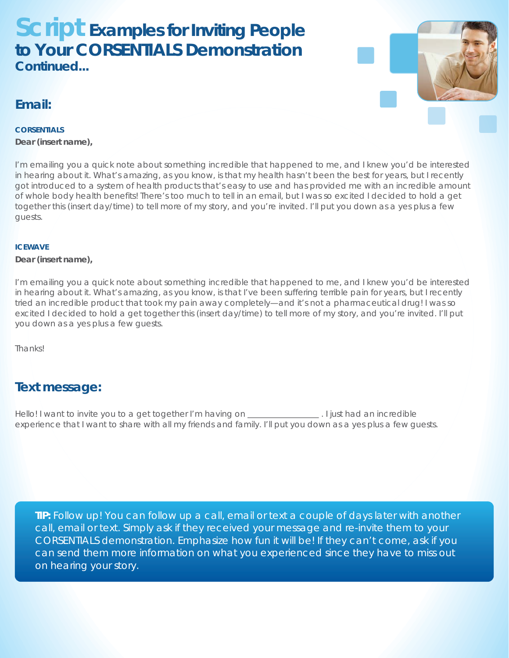# **Script Examples for Inviting People to Your CORSENTIALS Demonstration Continued...**

#### **Email:**

#### **CORSENTIALS**

**Dear (insert name),**

I'm emailing you a quick note about something incredible that happened to me, and I knew you'd be interested in hearing about it. What's amazing, as you know, is that my health hasn't been the best for years, but I recently got introduced to a system of health products that's easy to use and has provided me with an incredible amount of whole body health benefits! There's too much to tell in an email, but I was so excited I decided to hold a get together this (insert day/time) to tell more of my story, and you're invited. I'll put you down as a yes plus a few guests.

#### **ICEWAVE**

#### **Dear (insert name),**

I'm emailing you a quick note about something incredible that happened to me, and I knew you'd be interested in hearing about it. What's amazing, as you know, is that I've been suffering terrible pain for years, but I recently tried an incredible product that took my pain away completely—and it's not a pharmaceutical drug! I was so excited I decided to hold a get together this (insert day/time) to tell more of my story, and you're invited. I'll put you down as a yes plus a few guests.

Thanks!

### **Text message:**

Hello! I want to invite you to a get together I'm having on \_\_\_\_\_\_\_\_\_\_\_\_\_\_\_. I just had an incredible experience that I want to share with all my friends and family. I'll put you down as a yes plus a few guests.

**TIP:** Follow up! You can follow up a call, email or text a couple of days later with another call, email or text. Simply ask if they received your message and re-invite them to your CORSENTIALS demonstration. Emphasize how fun it will be! If they can't come, ask if you can send them more information on what you experienced since they have to miss out on hearing your story.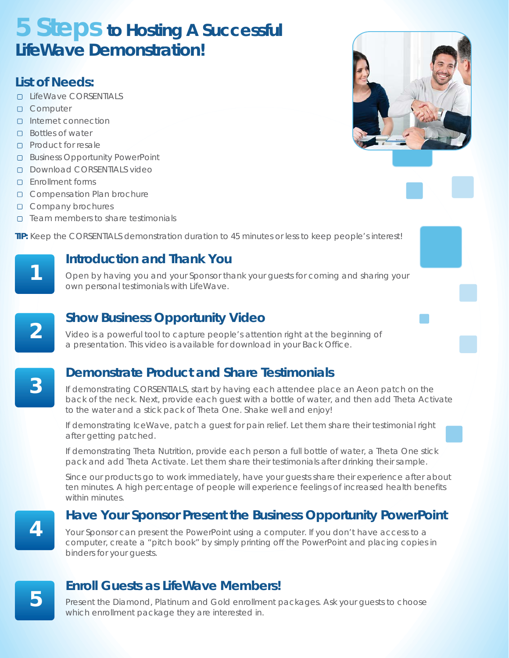# **5 Steps to Hosting A Successful LifeWave Demonstration!**

#### **List of Needs:**

- **D** LifeWave CORSENTIALS
- □ Computer
- Internet connection
- **D** Bottles of water
- n Product for resale
- □ Business Opportunity PowerPoint
- D Download CORSENTIALS video
- Enrollment forms

**1**

**3**

- **Compensation Plan brochure**
- **D** Company brochures
- $\Box$  Team members to share testimonials

**TIP:** Keep the CORSENTIALS demonstration duration to 45 minutes or less to keep people's interest!

### **Introduction and Thank You**

Open by having you and your Sponsor thank your guests for coming and sharing your own personal testimonials with LifeWave.

### **<sup>2</sup> Show Business Opportunity Video**

Video is a powerful tool to capture people's attention right at the beginning of a presentation. This video is available for download in your Back Office.

### **Demonstrate Product and Share Testimonials**

If demonstrating CORSENTIALS, start by having each attendee place an Aeon patch on the back of the neck. Next, provide each guest with a bottle of water, and then add *Theta Activate* to the water and a stick pack of *Theta One*. Shake well and enjoy!

If demonstrating IceWave, patch a guest for pain relief. Let them share their testimonial right after getting patched.

If demonstrating *Theta Nutrition*, provide each person a full bottle of water, a *Theta One* stick pack and add *Theta Activate*. Let them share their testimonials after drinking their sample.

Since our products go to work immediately, have your guests share their experience after about ten minutes. A high percentage of people will experience feelings of increased health benefits within minutes.

# **4 <b>A Have Your Sponsor Present the Business Opportunity PowerPoint<br>
<b>4 A** *Nour Sponsor can present the PowerPoint using a computer. If you don't have access to a*

Your Sponsor can present the PowerPoint using a computer. If you don't have access to a computer, create a "pitch book" by simply printing off the PowerPoint and placing copies in binders for your guests.

### **Enroll Guests as LifeWave Members!**

Present the Diamond, Platinum and Gold enrollment packages. Ask your guests to choose which enrollment package they are interested in.



**5**